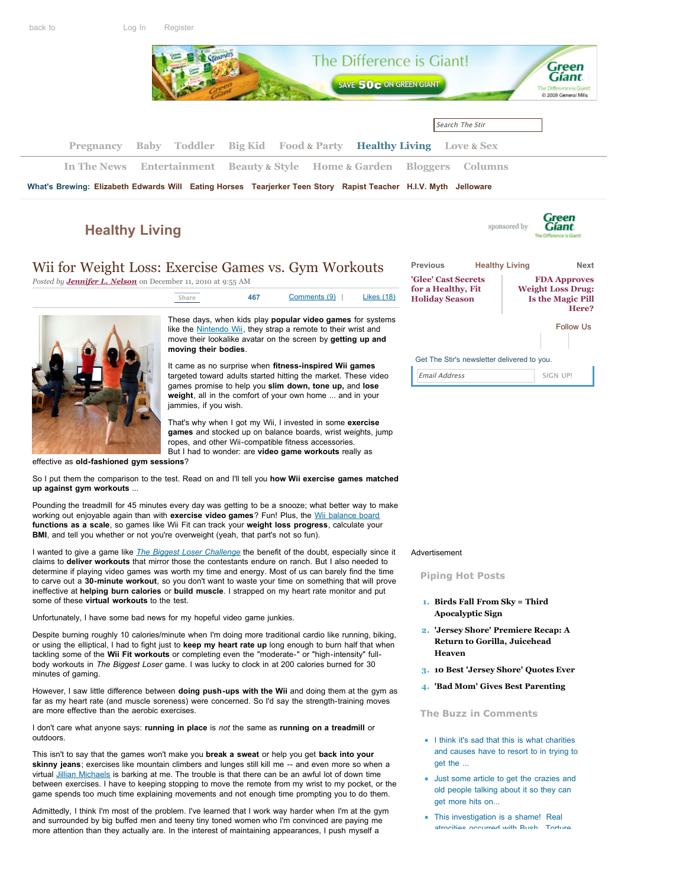

# **[Healthy Living](http://thestir.cafemom.com/healthy_living)**



# Wii for Weight Loss: Exercise Games vs. Gym Workouts

*Posted by [Jennifer L. Nelson](http://thestir.cafemom.com/blogger/84/jennifer_l_nelson)* on December 11, 2010 at 9:55 AM

| Share                | 467 | Comments (9)                                                                                                                                                                                      | <b>Likes</b> (18) |
|----------------------|-----|---------------------------------------------------------------------------------------------------------------------------------------------------------------------------------------------------|-------------------|
| moving their bodies. |     | These days, when kids play <b>popular video games</b> for systems<br>like the Nintendo Wii, they strap a remote to their wrist and<br>move their lookalike avatar on the screen by getting up and |                   |

It came as no surprise when **fitness-inspired Wii games** targeted toward adults started hitting the market. These video games promise to help you **slim down, tone up,** and **lose weight**, all in the comfort of your own home ... and in your jammies, if you wish.

That's why when I got my Wii, I invested in some **exercise games** and stocked up on balance boards, wrist weights, jump ropes, and other Wii-compatible fitness accessories. But I had to wonder: are **video game workouts** really as

effective as **old-fashioned gym sessions**?

So I put them the comparison to the test. Read on and I'll tell you **how Wii exercise games matched up against gym workouts** ...

Pounding the treadmill for 45 minutes every day was getting to be a snooze; what better way to make working out enjoyable again than with **exercise video games**? Fun! Plus, the [Wii balance board](http://www.nintendo.com/wii/console/accessories/balanceboard) **functions as a scale**, so games like Wii Fit can track your **weight loss progress**, calculate your **BMI**, and tell you whether or not you're overweight (yeah, that part's not so fun).

I wanted to give a game like *The [Biggest Loser](http://www.biggestloserthegame.com/) Challenge* the benefit of the doubt, especially since it claims to **deliver workouts** that mirror those the contestants endure on ranch. But I also needed to determine if playing video games was worth my time and energy. Most of us can barely find the time to carve out a **30-minute workout**, so you don't want to waste your time on something that will prove ineffective at **helping burn calories** or **build muscle**. I strapped on my heart rate monitor and put some of these **virtual workouts** to the test.

Unfortunately, I have some bad news for my hopeful video game junkies.

Despite burning roughly 10 calories/minute when I'm doing more traditional cardio like running, biking, or using the elliptical, I had to fight just to **keep my heart rate up** long enough to burn half that when tackling some of the **Wii Fit workouts** or completing even the "moderate-" or "high-intensity" fullbody workouts in *The Biggest Loser* game. I was lucky to clock in at 200 calories burned for 30 minutes of gaming.

However, I saw little difference between **doing push-ups with the Wii** and doing them at the gym as far as my heart rate (and muscle soreness) were concerned. So I'd say the strength-training moves are more effective than the aerobic exercises.

I don't care what anyone says: **running in place** is *not* the same as **running on a treadmill** or outdoors.

This isn't to say that the games won't make you **break a sweat** or help you get **back into your skinny jeans**; exercises like mountain climbers and lunges still kill me -- and even more so when a virtual [Jillian Michaels](http://thestir.cafemom.com/entertainment/113654/jillian_michaels_does_she_really) is barking at me. The trouble is that there can be an awful lot of down time between exercises. I have to keeping stopping to move the remote from my wrist to my pocket, or the game spends too much time explaining movements and not enough time prompting you to do them.

Admittedly, I think I'm most of the problem. I've learned that I work way harder when I'm at the gym and surrounded by big buffed men and teeny tiny toned women who I'm convinced are paying me more attention than they actually are. In the interest of maintaining appearances, I push myself a

| Previous                                                           | <b>Healthy Living</b> | Next                                                                                 |  |  |
|--------------------------------------------------------------------|-----------------------|--------------------------------------------------------------------------------------|--|--|
| 'Glee' Cast Secrets<br>for a Healthy, Fit<br><b>Holiday Season</b> |                       | <b>FDA Approves</b><br><b>Weight Loss Drug:</b><br><b>Is the Magic Pill</b><br>Here? |  |  |
|                                                                    | <b>Follow Us</b>      |                                                                                      |  |  |
|                                                                    |                       |                                                                                      |  |  |
| Get The Stir's newsletter delivered to you.                        |                       |                                                                                      |  |  |
| Email Address                                                      |                       | SIGN UP!                                                                             |  |  |

### Advertisement

**Piping Hot Posts**

- **1. [Birds Fall From Sky = Third](http://thestir.cafemom.com/home_garden/114535/birds_fall_from_sky_third) Apocalyptic Sign**
- **2. ['Jersey Shore' Premiere Recap: A](http://thestir.cafemom.com/entertainment/114724/jersey_shore_premiere_recap_a) Return to Gorilla, Juicehead Heaven**
- **3. [10 Best 'Jersey Shore' Quotes Ever](http://thestir.cafemom.com/entertainment/114723/10_best_jersey_shore_quotes)**
- **4. ['Bad Mom' Gives Best Parenting](http://thestir.cafemom.com/baby/114231/bad_mom_gives_best_parenting)**

## **The Buzz in Comments**

- **•** I think it's sad that this is what charities [and causes have to resort to in trying to](http://thestir.cafemom.com/healthy_living/114734/adam_levine_poses_naked_promotes#comment_290117) **7. Mass Animal Deaths: What's the** get the ...
- **Government Hiding?** [Just some article to get the crazies and](http://thestir.cafemom.com/home_garden/114535/birds_fall_from_sky_third#comment_290116) get more hits on... old people talking about it so they can
- **[This investigation is a shame! Real](http://thestir.cafemom.com/in_the_news/114517/representative_darrell_issa_in_search#comment_290114) 9. Princess Boy Will Be a Victim of** atrocities occurred with Bush. Torture,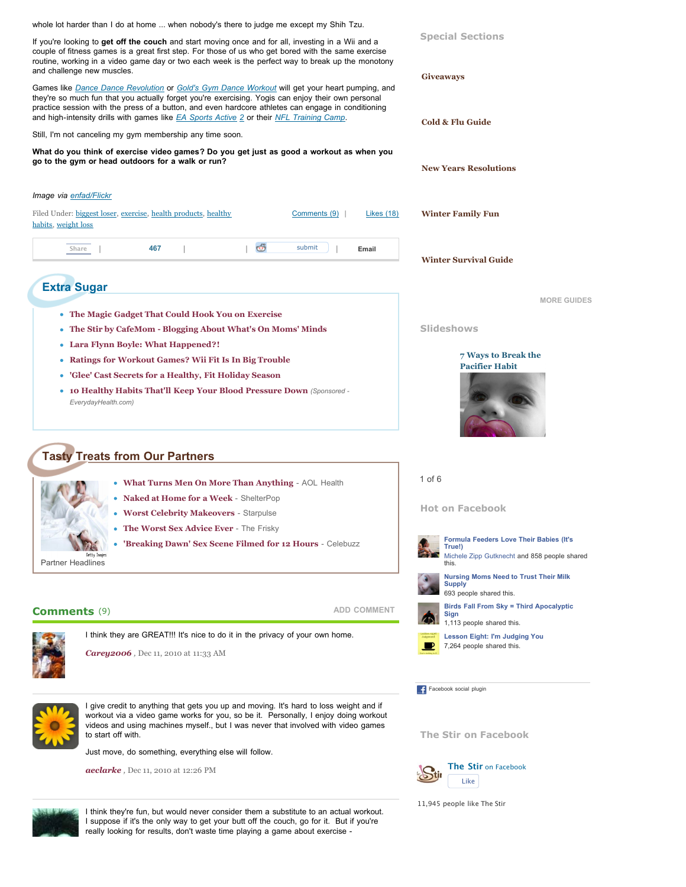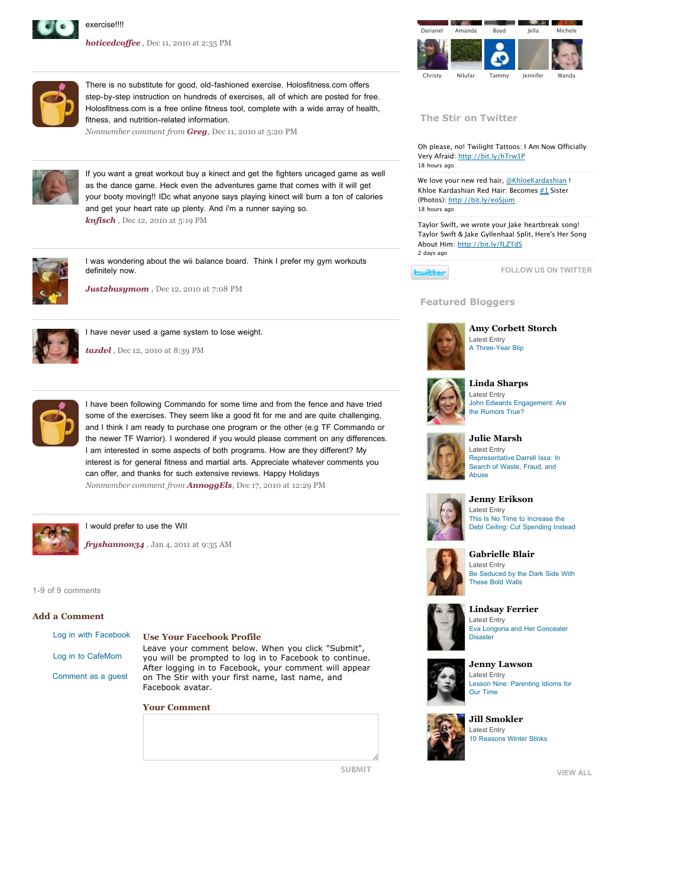

*[hoticedcoffee](http://www.cafemom.com/home/hoticedcoffee) ,* Dec 11, 2010 at 2:35 PM



**The Stir on Twitter**

Oh please, no! Twilight Tattoos: I Am Now Officially Very Afraid:<http://bit.ly/hTrw1P> [18 hours ago](http://www.twitter.com/the_stir/status/23148559809389000)

We love your new red hair, [@KhloeKardashian](http://twitter.com/KhloeKardashian) ! Khloe Kardashian Red Hair: Becomes [#1](http://search.twitter.com/search?q=%231) Sister (Photos):<http://bit.ly/eoSjum> [18 hours ago](http://www.twitter.com/the_stir/status/23140679106437000)

Taylor Swift, we wrote your Jake heartbreak song! Taylor Swift & Jake Gyllenhaal Split, Here's Her Song About Him: <http://bit.ly/fLZTdS> [2 days ago](http://www.twitter.com/the_stir/status/22494597288567000)

**Ewitter** 

**[FOLLOW US ON TWITTER](http://www.twitter.com/the_stir)**

## **Featured Bloggers**



**[Amy Corbett Storch](http://thestir.cafemom.com/blogger/14/amy_corbett_storch)** Latest Entry [A Three-Year Blip](http://thestir.cafemom.com/healthy_living/113573/http://thestir.cafemom.com/toddler/114427/a_threeyear_blip)



### **[Linda Sharps](http://feeds.feedburner.com/cafemom/thestir/blogger/15)** Latest Entry

[John Edwards Engagement: Are](http://thestir.cafemom.com/healthy_living/113573/http://thestir.cafemom.com/in_the_news/114737/john_edwards_engagement_are_the) the Rumors True?



#### **[Julie Marsh](http://thestir.cafemom.com/blogger/19/julie_marsh)** Latest Entry [Representative Darrell Issa: In](http://thestir.cafemom.com/healthy_living/113573/http://thestir.cafemom.com/in_the_news/114517/representative_darrell_issa_in_search) Search of Waste, Fraud, and Abuse



**[Jenny Erikson](http://feeds.feedburner.com/cafemom/thestir/blogger/32)** Latest Entry This Is No Time to Increase the [Debt Ceiling: Cut Spending Instead](http://thestir.cafemom.com/healthy_living/113573/http://thestir.cafemom.com/in_the_news/114719/this_is_no_time_to)



**[Gabrielle Blair](http://feeds.feedburner.com/cafemom/thestir/blogger/39)** Latest Entry [Be Seduced by the Dark Side With](http://thestir.cafemom.com/healthy_living/113573/http://thestir.cafemom.com/home_garden/114688/be_seduced_by_the_dark) These Bold Walls



**[Lindsay Ferrier](http://feeds.feedburner.com/cafemom/thestir/blogger/50)** Latest Entry [Eva Longoria and Her Concealer](http://thestir.cafemom.com/healthy_living/113573/http://thestir.cafemom.com/beauty_style/114668/eva_longoria_and_her_concealer) **Disaster** 



**[Jenny Lawson](http://thestir.cafemom.com/blogger/73/jenny_lawson)** Latest Entry [Lesson Nine: Parenting Idioms for](http://thestir.cafemom.com/healthy_living/113573/http://thestir.cafemom.com/big_kid/114565/lesson_nine_parenting_idioms_for) Our Time



**[Jill Smokler](http://feeds.feedburner.com/cafemom/thestir/blogger/75)** Latest Entry [10 Reasons Winter Stinks](http://thestir.cafemom.com/healthy_living/113573/http://thestir.cafemom.com/toddler/114485/10_reasons_winter_stinks)

**[VIEW ALL](http://thestir.cafemom.com/bloggers)**



There is no substitute for good, old-fashioned exercise. Holosfitness.com offers step-by-step instruction on hundreds of exercises, all of which are posted for free. Holosfitness.com is a free online fitness tool, complete with a wide array of health, fitness, and nutrition-related information.

*Nonmember comment from [Greg](http://www.holosfitness.com/),* Dec 11, 2010 at 5:20 PM



If you want a great workout buy a kinect and get the fighters uncaged game as well as the dance game. Heck even the adventures game that comes with it will get your booty moving!! IDc what anyone says playing kinect will burn a ton of calories and get your heart rate up plenty. And i'm a runner saying so. *[knfisch](http://www.cafemom.com/home/knfisch) ,* Dec 12, 2010 at 5:19 PM

I was wondering about the wii balance board. Think I prefer my gym workouts



definitely now. *[Just2busymom](http://www.cafemom.com/home/Just2busymom) ,* Dec 12, 2010 at 7:08 PM



[I have never used a game system to lose weight.](http://feeds.feedburner.com/cafemom/thestir/blogger/14)

*[tazdvl](http://www.cafemom.com/home/tazdvl) ,* Dec 12, 2010 at 8:39 PM



I have been following Commando for some time and from the fence and have tried some of the exercises. They seem like a good fit for me and are quite challenging, and I think I am ready to purchase one program or the other (e.g TF Commando or [the newer TF Warrior\). I wondered if you would please comment on any differences.](http://feeds.feedburner.com/cafemom/thestir/blogger/19) I am interested in some aspects of both programs. How are they different? My interest is for general fitness and martial arts. Appreciate whatever comments you can offer, and thanks for such extensive reviews. Happy Holidays *Nonmember comment from [AnnoggEls](http://tacfitcommandorviews.blogspot.com/),* Dec 17, 2010 at 12:29 PM



#### I would prefer to use the WII

*[fryshannon34](http://www.cafemom.com/home/fryshannon34) ,* Jan 4, 2011 at 9:35 AM

1-9 of 9 comments

### **Add a Comment**

| Log in with Facebook |  |  |  |
|----------------------|--|--|--|
| Log in to CafeMom    |  |  |  |
| Comment as a guest   |  |  |  |

#### **Use Your Facebook Profile**

Leave your comment below. When you click "Submit", you will be prompted to log in to Facebook to continue. [After logging in to Facebook, your comment will appear](http://feeds.feedburner.com/cafemom/thestir/blogger/73) on The Stir with your first name, last name, and Facebook avatar.

**Your Comment**



**SUBMIT**